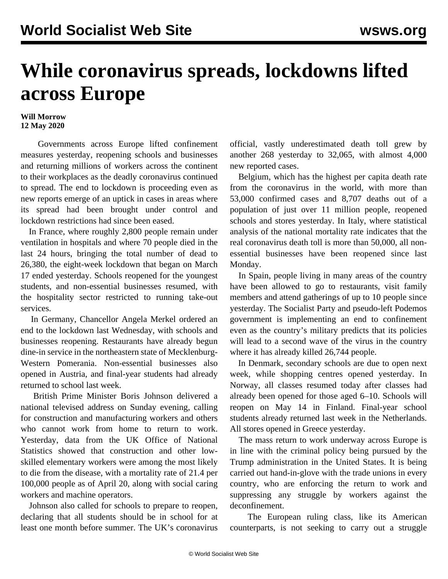## **While coronavirus spreads, lockdowns lifted across Europe**

## **Will Morrow 12 May 2020**

 Governments across Europe lifted confinement measures yesterday, reopening schools and businesses and returning millions of workers across the continent to their workplaces as the deadly coronavirus continued to spread. The end to lockdown is proceeding even as new reports emerge of an uptick in cases in areas where its spread had been brought under control and lockdown restrictions had since been eased.

 In France, where roughly 2,800 people remain under ventilation in hospitals and where 70 people died in the last 24 hours, bringing the total number of dead to 26,380, the eight-week lockdown that began on March 17 ended yesterday. Schools reopened for the youngest students, and non-essential businesses resumed, with the hospitality sector restricted to running take-out services.

 In Germany, Chancellor Angela Merkel ordered an end to the lockdown last Wednesday, with schools and businesses reopening. Restaurants have already begun dine-in service in the northeastern state of Mecklenburg-Western Pomerania. Non-essential businesses also opened in Austria, and final-year students had already returned to school last week.

 British Prime Minister Boris Johnson delivered a national televised address on Sunday evening, calling for construction and manufacturing workers and others who cannot work from home to return to work. Yesterday, data from the UK Office of National Statistics showed that construction and other lowskilled elementary workers were among the most likely to die from the disease, with a mortality rate of 21.4 per 100,000 people as of April 20, along with social caring workers and machine operators.

 Johnson also called for schools to prepare to reopen, declaring that all students should be in school for at least one month before summer. The UK's coronavirus

official, vastly underestimated death toll grew by another 268 yesterday to 32,065, with almost 4,000 new reported cases.

 Belgium, which has the highest per capita death rate from the coronavirus in the world, with more than 53,000 confirmed cases and 8,707 deaths out of a population of just over 11 million people, reopened schools and stores yesterday. In Italy, where statistical analysis of the national mortality rate indicates that the real coronavirus death toll is more than 50,000, all nonessential businesses have been reopened since last Monday.

 In Spain, people living in many areas of the country have been allowed to go to restaurants, visit family members and attend gatherings of up to 10 people since yesterday. The Socialist Party and pseudo-left Podemos government is implementing an end to confinement even as the country's military predicts that its policies will lead to a second wave of the virus in the country where it has already killed 26,744 people.

 In Denmark, secondary schools are due to open next week, while shopping centres opened yesterday. In Norway, all classes resumed today after classes had already been opened for those aged 6–10. Schools will reopen on May 14 in Finland. Final-year school students already returned last week in the Netherlands. All stores opened in Greece yesterday.

 The mass return to work underway across Europe is in line with the criminal policy being pursued by the Trump administration in the United States. It is being carried out hand-in-glove with the trade unions in every country, who are enforcing the return to work and suppressing any struggle by workers against the deconfinement.

 The European ruling class, like its American counterparts, is not seeking to carry out a struggle